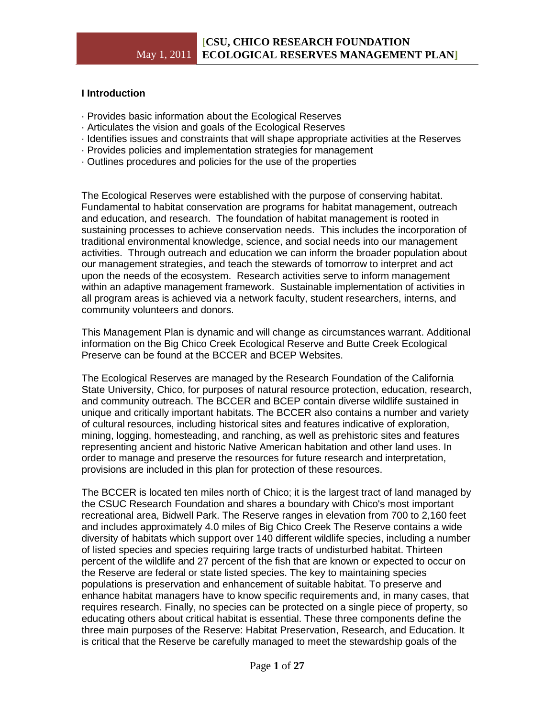# **I Introduction**

- · Provides basic information about the Ecological Reserves
- · Articulates the vision and goals of the Ecological Reserves
- · Identifies issues and constraints that will shape appropriate activities at the Reserves
- · Provides policies and implementation strategies for management
- · Outlines procedures and policies for the use of the properties

The Ecological Reserves were established with the purpose of conserving habitat. Fundamental to habitat conservation are programs for habitat management, outreach and education, and research. The foundation of habitat management is rooted in sustaining processes to achieve conservation needs. This includes the incorporation of traditional environmental knowledge, science, and social needs into our management activities. Through outreach and education we can inform the broader population about our management strategies, and teach the stewards of tomorrow to interpret and act upon the needs of the ecosystem. Research activities serve to inform management within an adaptive management framework. Sustainable implementation of activities in all program areas is achieved via a network faculty, student researchers, interns, and community volunteers and donors.

This Management Plan is dynamic and will change as circumstances warrant. Additional information on the Big Chico Creek Ecological Reserve and Butte Creek Ecological Preserve can be found at the BCCER and BCEP Websites.

The Ecological Reserves are managed by the Research Foundation of the California State University, Chico, for purposes of natural resource protection, education, research, and community outreach. The BCCER and BCEP contain diverse wildlife sustained in unique and critically important habitats. The BCCER also contains a number and variety of cultural resources, including historical sites and features indicative of exploration, mining, logging, homesteading, and ranching, as well as prehistoric sites and features representing ancient and historic Native American habitation and other land uses. In order to manage and preserve the resources for future research and interpretation, provisions are included in this plan for protection of these resources.

The BCCER is located ten miles north of Chico; it is the largest tract of land managed by the CSUC Research Foundation and shares a boundary with Chico's most important recreational area, Bidwell Park. The Reserve ranges in elevation from 700 to 2,160 feet and includes approximately 4.0 miles of Big Chico Creek The Reserve contains a wide diversity of habitats which support over 140 different wildlife species, including a number of listed species and species requiring large tracts of undisturbed habitat. Thirteen percent of the wildlife and 27 percent of the fish that are known or expected to occur on the Reserve are federal or state listed species. The key to maintaining species populations is preservation and enhancement of suitable habitat. To preserve and enhance habitat managers have to know specific requirements and, in many cases, that requires research. Finally, no species can be protected on a single piece of property, so educating others about critical habitat is essential. These three components define the three main purposes of the Reserve: Habitat Preservation, Research, and Education. It is critical that the Reserve be carefully managed to meet the stewardship goals of the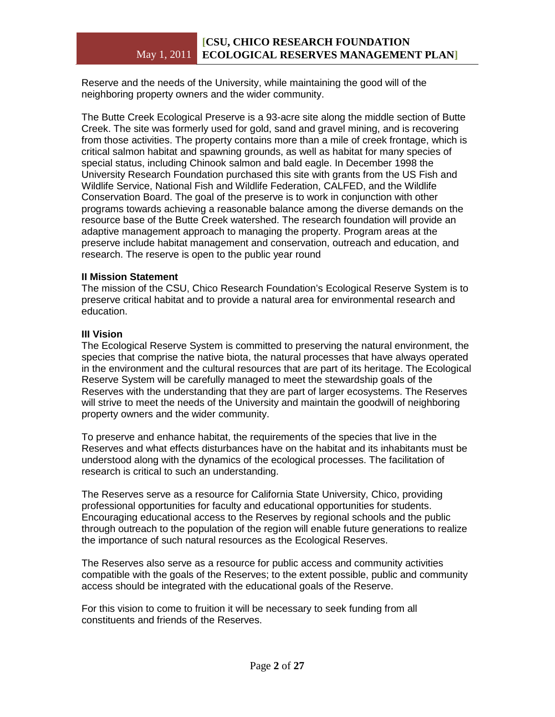Reserve and the needs of the University, while maintaining the good will of the neighboring property owners and the wider community.

The Butte Creek Ecological Preserve is a 93-acre site along the middle section of Butte Creek. The site was formerly used for gold, sand and gravel mining, and is recovering from those activities. The property contains more than a mile of creek frontage, which is critical salmon habitat and spawning grounds, as well as habitat for many species of special status, including Chinook salmon and bald eagle. In December 1998 the University Research Foundation purchased this site with grants from the US Fish and Wildlife Service, National Fish and Wildlife Federation, CALFED, and the Wildlife Conservation Board. The goal of the preserve is to work in conjunction with other programs towards achieving a reasonable balance among the diverse demands on the resource base of the Butte Creek watershed. The research foundation will provide an adaptive management approach to managing the property. Program areas at the preserve include habitat management and conservation, outreach and education, and research. The reserve is open to the public year round

# **II Mission Statement**

The mission of the CSU, Chico Research Foundation's Ecological Reserve System is to preserve critical habitat and to provide a natural area for environmental research and education.

# **III Vision**

The Ecological Reserve System is committed to preserving the natural environment, the species that comprise the native biota, the natural processes that have always operated in the environment and the cultural resources that are part of its heritage. The Ecological Reserve System will be carefully managed to meet the stewardship goals of the Reserves with the understanding that they are part of larger ecosystems. The Reserves will strive to meet the needs of the University and maintain the goodwill of neighboring property owners and the wider community.

To preserve and enhance habitat, the requirements of the species that live in the Reserves and what effects disturbances have on the habitat and its inhabitants must be understood along with the dynamics of the ecological processes. The facilitation of research is critical to such an understanding.

The Reserves serve as a resource for California State University, Chico, providing professional opportunities for faculty and educational opportunities for students. Encouraging educational access to the Reserves by regional schools and the public through outreach to the population of the region will enable future generations to realize the importance of such natural resources as the Ecological Reserves.

The Reserves also serve as a resource for public access and community activities compatible with the goals of the Reserves; to the extent possible, public and community access should be integrated with the educational goals of the Reserve.

For this vision to come to fruition it will be necessary to seek funding from all constituents and friends of the Reserves.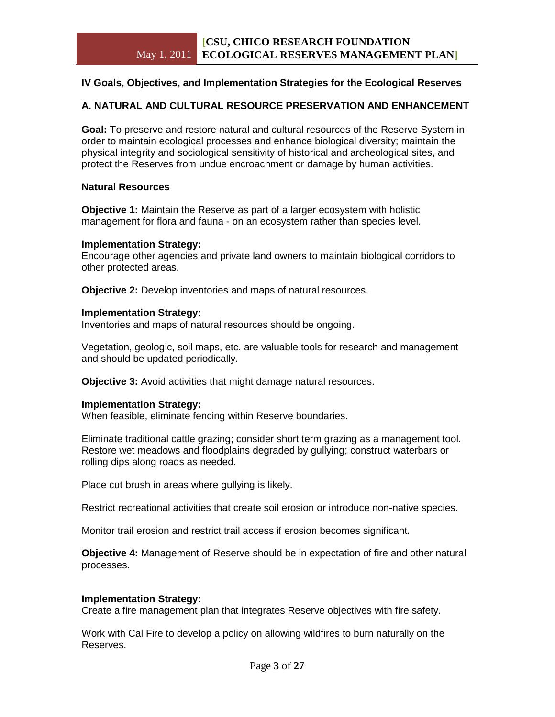# **IV Goals, Objectives, and Implementation Strategies for the Ecological Reserves**

# **A. NATURAL AND CULTURAL RESOURCE PRESERVATION AND ENHANCEMENT**

**Goal:** To preserve and restore natural and cultural resources of the Reserve System in order to maintain ecological processes and enhance biological diversity; maintain the physical integrity and sociological sensitivity of historical and archeological sites, and protect the Reserves from undue encroachment or damage by human activities.

#### **Natural Resources**

**Objective 1:** Maintain the Reserve as part of a larger ecosystem with holistic management for flora and fauna - on an ecosystem rather than species level.

#### **Implementation Strategy:**

Encourage other agencies and private land owners to maintain biological corridors to other protected areas.

**Objective 2:** Develop inventories and maps of natural resources.

#### **Implementation Strategy:**

Inventories and maps of natural resources should be ongoing.

Vegetation, geologic, soil maps, etc. are valuable tools for research and management and should be updated periodically.

**Objective 3:** Avoid activities that might damage natural resources.

#### **Implementation Strategy:**

When feasible, eliminate fencing within Reserve boundaries.

Eliminate traditional cattle grazing; consider short term grazing as a management tool. Restore wet meadows and floodplains degraded by gullying; construct waterbars or rolling dips along roads as needed.

Place cut brush in areas where gullying is likely.

Restrict recreational activities that create soil erosion or introduce non-native species.

Monitor trail erosion and restrict trail access if erosion becomes significant.

**Objective 4:** Management of Reserve should be in expectation of fire and other natural processes.

#### **Implementation Strategy:**

Create a fire management plan that integrates Reserve objectives with fire safety.

Work with Cal Fire to develop a policy on allowing wildfires to burn naturally on the Reserves.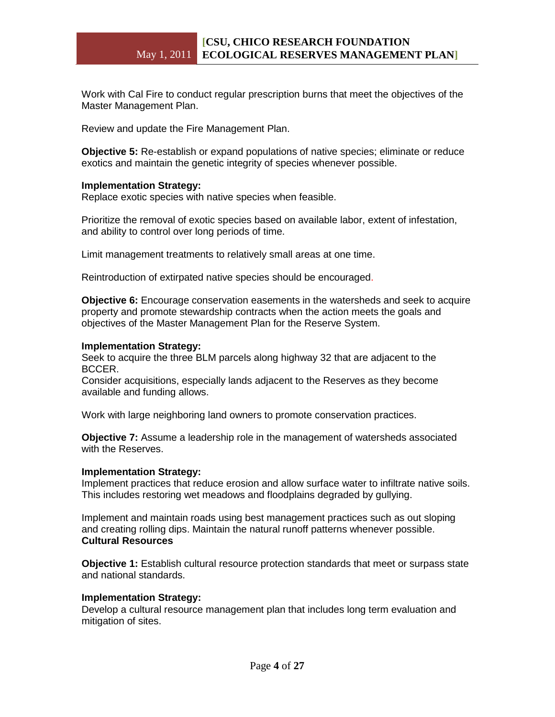Work with Cal Fire to conduct regular prescription burns that meet the objectives of the Master Management Plan.

Review and update the Fire Management Plan.

**Objective 5:** Re-establish or expand populations of native species; eliminate or reduce exotics and maintain the genetic integrity of species whenever possible.

#### **Implementation Strategy:**

Replace exotic species with native species when feasible.

Prioritize the removal of exotic species based on available labor, extent of infestation, and ability to control over long periods of time.

Limit management treatments to relatively small areas at one time.

Reintroduction of extirpated native species should be encouraged.

**Objective 6:** Encourage conservation easements in the watersheds and seek to acquire property and promote stewardship contracts when the action meets the goals and objectives of the Master Management Plan for the Reserve System.

#### **Implementation Strategy:**

Seek to acquire the three BLM parcels along highway 32 that are adjacent to the BCCER.

Consider acquisitions, especially lands adjacent to the Reserves as they become available and funding allows.

Work with large neighboring land owners to promote conservation practices.

**Objective 7:** Assume a leadership role in the management of watersheds associated with the Reserves.

# **Implementation Strategy:**

Implement practices that reduce erosion and allow surface water to infiltrate native soils. This includes restoring wet meadows and floodplains degraded by gullying.

Implement and maintain roads using best management practices such as out sloping and creating rolling dips. Maintain the natural runoff patterns whenever possible. **Cultural Resources**

**Objective 1:** Establish cultural resource protection standards that meet or surpass state and national standards.

#### **Implementation Strategy:**

Develop a cultural resource management plan that includes long term evaluation and mitigation of sites.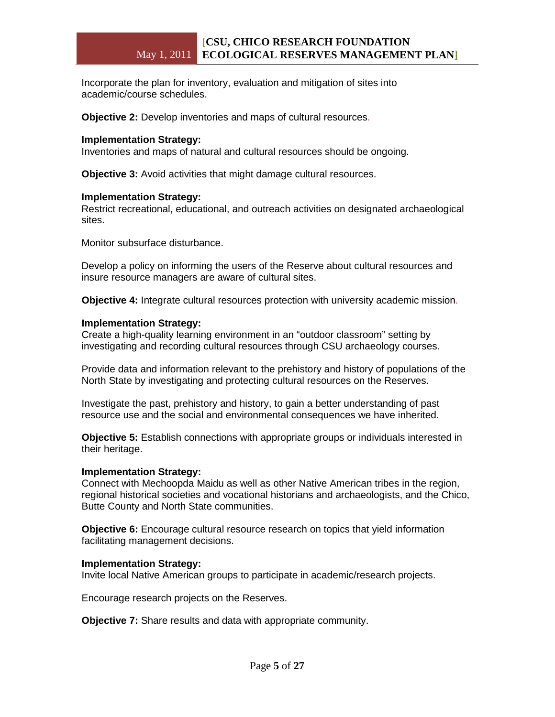Incorporate the plan for inventory, evaluation and mitigation of sites into academic/course schedules.

**Objective 2:** Develop inventories and maps of cultural resources.

#### **Implementation Strategy:**

Inventories and maps of natural and cultural resources should be ongoing.

**Objective 3:** Avoid activities that might damage cultural resources.

#### **Implementation Strategy:**

Restrict recreational, educational, and outreach activities on designated archaeological sites.

Monitor subsurface disturbance.

Develop a policy on informing the users of the Reserve about cultural resources and insure resource managers are aware of cultural sites.

**Objective 4:** Integrate cultural resources protection with university academic mission.

#### **Implementation Strategy:**

Create a high-quality learning environment in an "outdoor classroom" setting by investigating and recording cultural resources through CSU archaeology courses.

Provide data and information relevant to the prehistory and history of populations of the North State by investigating and protecting cultural resources on the Reserves.

Investigate the past, prehistory and history, to gain a better understanding of past resource use and the social and environmental consequences we have inherited.

**Objective 5:** Establish connections with appropriate groups or individuals interested in their heritage.

#### **Implementation Strategy:**

Connect with Mechoopda Maidu as well as other Native American tribes in the region, regional historical societies and vocational historians and archaeologists, and the Chico, Butte County and North State communities.

**Objective 6:** Encourage cultural resource research on topics that yield information facilitating management decisions.

#### **Implementation Strategy:**

Invite local Native American groups to participate in academic/research projects.

Encourage research projects on the Reserves.

**Objective 7:** Share results and data with appropriate community.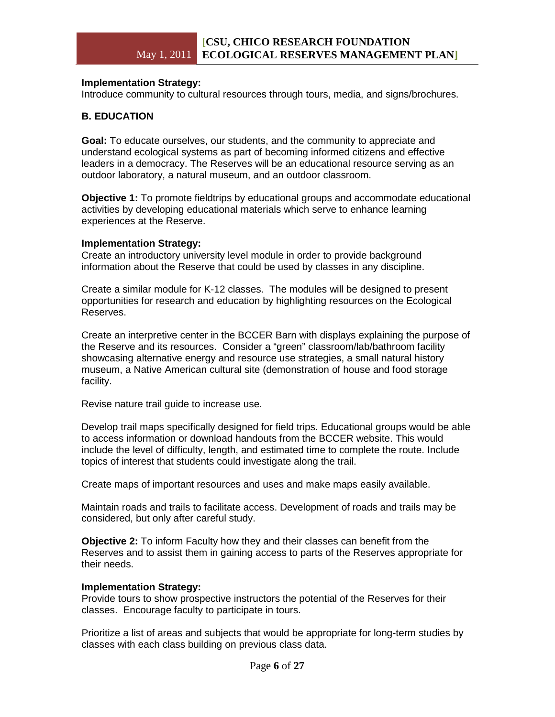# **Implementation Strategy:**

Introduce community to cultural resources through tours, media, and signs/brochures.

# **B. EDUCATION**

**Goal:** To educate ourselves, our students, and the community to appreciate and understand ecological systems as part of becoming informed citizens and effective leaders in a democracy. The Reserves will be an educational resource serving as an outdoor laboratory, a natural museum, and an outdoor classroom.

**Objective 1:** To promote fieldtrips by educational groups and accommodate educational activities by developing educational materials which serve to enhance learning experiences at the Reserve.

#### **Implementation Strategy:**

Create an introductory university level module in order to provide background information about the Reserve that could be used by classes in any discipline.

Create a similar module for K-12 classes. The modules will be designed to present opportunities for research and education by highlighting resources on the Ecological Reserves.

Create an interpretive center in the BCCER Barn with displays explaining the purpose of the Reserve and its resources. Consider a "green" classroom/lab/bathroom facility showcasing alternative energy and resource use strategies, a small natural history museum, a Native American cultural site (demonstration of house and food storage facility.

Revise nature trail guide to increase use.

Develop trail maps specifically designed for field trips. Educational groups would be able to access information or download handouts from the BCCER website. This would include the level of difficulty, length, and estimated time to complete the route. Include topics of interest that students could investigate along the trail.

Create maps of important resources and uses and make maps easily available.

Maintain roads and trails to facilitate access. Development of roads and trails may be considered, but only after careful study.

**Objective 2:** To inform Faculty how they and their classes can benefit from the Reserves and to assist them in gaining access to parts of the Reserves appropriate for their needs.

# **Implementation Strategy:**

Provide tours to show prospective instructors the potential of the Reserves for their classes. Encourage faculty to participate in tours.

Prioritize a list of areas and subjects that would be appropriate for long-term studies by classes with each class building on previous class data.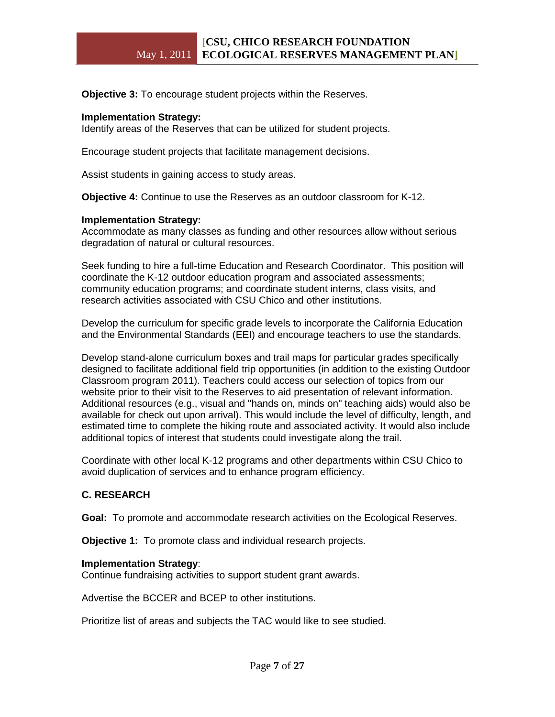**Objective 3:** To encourage student projects within the Reserves.

#### **Implementation Strategy:**

Identify areas of the Reserves that can be utilized for student projects.

Encourage student projects that facilitate management decisions.

Assist students in gaining access to study areas.

**Objective 4:** Continue to use the Reserves as an outdoor classroom for K-12.

#### **Implementation Strategy:**

Accommodate as many classes as funding and other resources allow without serious degradation of natural or cultural resources.

Seek funding to hire a full-time Education and Research Coordinator. This position will coordinate the K-12 outdoor education program and associated assessments; community education programs; and coordinate student interns, class visits, and research activities associated with CSU Chico and other institutions.

Develop the curriculum for specific grade levels to incorporate the California Education and the Environmental Standards (EEI) and encourage teachers to use the standards.

Develop stand-alone curriculum boxes and trail maps for particular grades specifically designed to facilitate additional field trip opportunities (in addition to the existing Outdoor Classroom program 2011). Teachers could access our selection of topics from our website prior to their visit to the Reserves to aid presentation of relevant information. Additional resources (e.g., visual and "hands on, minds on" teaching aids) would also be available for check out upon arrival). This would include the level of difficulty, length, and estimated time to complete the hiking route and associated activity. It would also include additional topics of interest that students could investigate along the trail.

Coordinate with other local K-12 programs and other departments within CSU Chico to avoid duplication of services and to enhance program efficiency.

# **C. RESEARCH**

**Goal:** To promote and accommodate research activities on the Ecological Reserves.

**Objective 1:** To promote class and individual research projects.

#### **Implementation Strategy**:

Continue fundraising activities to support student grant awards.

Advertise the BCCER and BCEP to other institutions.

Prioritize list of areas and subjects the TAC would like to see studied.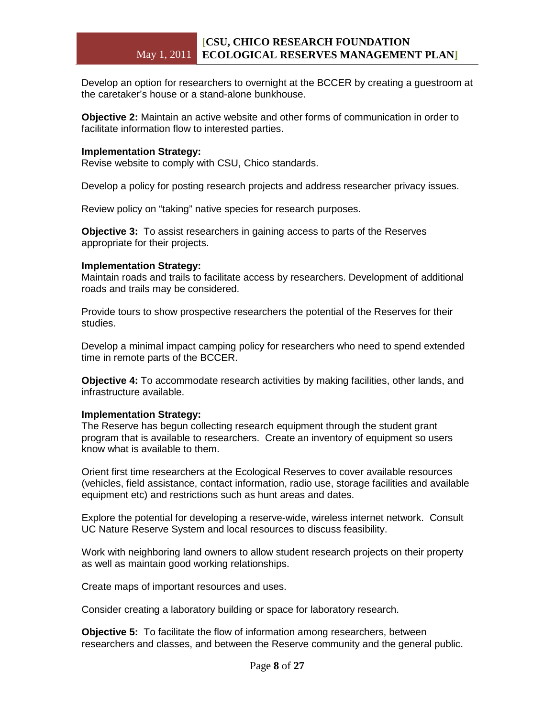Develop an option for researchers to overnight at the BCCER by creating a guestroom at the caretaker's house or a stand-alone bunkhouse.

**Objective 2:** Maintain an active website and other forms of communication in order to facilitate information flow to interested parties.

#### **Implementation Strategy:**

Revise website to comply with CSU, Chico standards.

Develop a policy for posting research projects and address researcher privacy issues.

Review policy on "taking" native species for research purposes.

**Objective 3:** To assist researchers in gaining access to parts of the Reserves appropriate for their projects.

#### **Implementation Strategy:**

Maintain roads and trails to facilitate access by researchers. Development of additional roads and trails may be considered.

Provide tours to show prospective researchers the potential of the Reserves for their studies.

Develop a minimal impact camping policy for researchers who need to spend extended time in remote parts of the BCCER.

**Objective 4:** To accommodate research activities by making facilities, other lands, and infrastructure available.

#### **Implementation Strategy:**

The Reserve has begun collecting research equipment through the student grant program that is available to researchers. Create an inventory of equipment so users know what is available to them.

Orient first time researchers at the Ecological Reserves to cover available resources (vehicles, field assistance, contact information, radio use, storage facilities and available equipment etc) and restrictions such as hunt areas and dates.

Explore the potential for developing a reserve-wide, wireless internet network. Consult UC Nature Reserve System and local resources to discuss feasibility.

Work with neighboring land owners to allow student research projects on their property as well as maintain good working relationships.

Create maps of important resources and uses.

Consider creating a laboratory building or space for laboratory research.

**Objective 5:** To facilitate the flow of information among researchers, between researchers and classes, and between the Reserve community and the general public.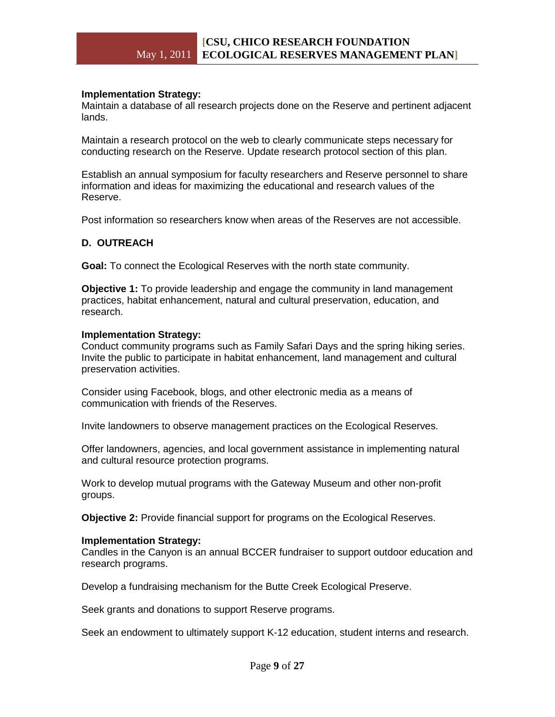#### **Implementation Strategy:**

Maintain a database of all research projects done on the Reserve and pertinent adjacent lands.

Maintain a research protocol on the web to clearly communicate steps necessary for conducting research on the Reserve. Update research protocol section of this plan.

Establish an annual symposium for faculty researchers and Reserve personnel to share information and ideas for maximizing the educational and research values of the Reserve.

Post information so researchers know when areas of the Reserves are not accessible.

#### **D. OUTREACH**

**Goal:** To connect the Ecological Reserves with the north state community.

**Objective 1:** To provide leadership and engage the community in land management practices, habitat enhancement, natural and cultural preservation, education, and research.

#### **Implementation Strategy:**

Conduct community programs such as Family Safari Days and the spring hiking series. Invite the public to participate in habitat enhancement, land management and cultural preservation activities.

Consider using Facebook, blogs, and other electronic media as a means of communication with friends of the Reserves.

Invite landowners to observe management practices on the Ecological Reserves.

Offer landowners, agencies, and local government assistance in implementing natural and cultural resource protection programs.

Work to develop mutual programs with the Gateway Museum and other non-profit groups.

**Objective 2:** Provide financial support for programs on the Ecological Reserves.

#### **Implementation Strategy:**

Candles in the Canyon is an annual BCCER fundraiser to support outdoor education and research programs.

Develop a fundraising mechanism for the Butte Creek Ecological Preserve.

Seek grants and donations to support Reserve programs.

Seek an endowment to ultimately support K-12 education, student interns and research.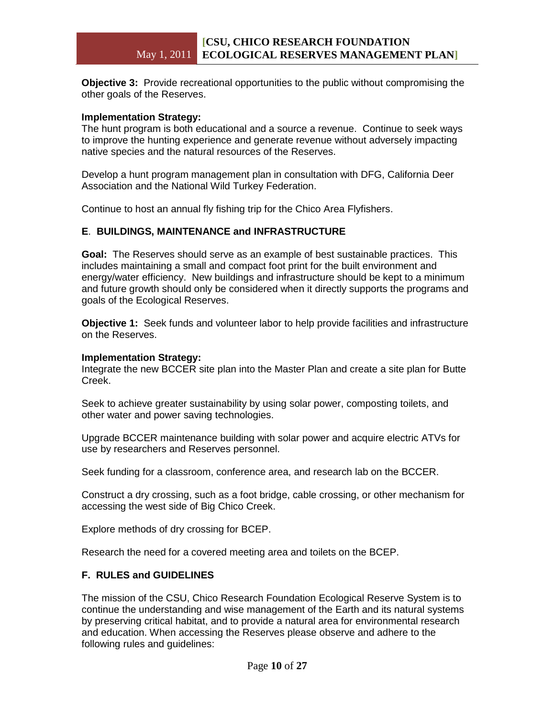**Objective 3:** Provide recreational opportunities to the public without compromising the other goals of the Reserves.

#### **Implementation Strategy:**

The hunt program is both educational and a source a revenue. Continue to seek ways to improve the hunting experience and generate revenue without adversely impacting native species and the natural resources of the Reserves.

Develop a hunt program management plan in consultation with DFG, California Deer Association and the National Wild Turkey Federation.

Continue to host an annual fly fishing trip for the Chico Area Flyfishers.

#### **E**. **BUILDINGS, MAINTENANCE and INFRASTRUCTURE**

**Goal:** The Reserves should serve as an example of best sustainable practices. This includes maintaining a small and compact foot print for the built environment and energy/water efficiency. New buildings and infrastructure should be kept to a minimum and future growth should only be considered when it directly supports the programs and goals of the Ecological Reserves.

**Objective 1:** Seek funds and volunteer labor to help provide facilities and infrastructure on the Reserves.

#### **Implementation Strategy:**

Integrate the new BCCER site plan into the Master Plan and create a site plan for Butte Creek.

Seek to achieve greater sustainability by using solar power, composting toilets, and other water and power saving technologies.

Upgrade BCCER maintenance building with solar power and acquire electric ATVs for use by researchers and Reserves personnel.

Seek funding for a classroom, conference area, and research lab on the BCCER.

Construct a dry crossing, such as a foot bridge, cable crossing, or other mechanism for accessing the west side of Big Chico Creek.

Explore methods of dry crossing for BCEP.

Research the need for a covered meeting area and toilets on the BCEP.

#### **F. RULES and GUIDELINES**

The mission of the CSU, Chico Research Foundation Ecological Reserve System is to continue the understanding and wise management of the Earth and its natural systems by preserving critical habitat, and to provide a natural area for environmental research and education. When accessing the Reserves please observe and adhere to the following rules and guidelines: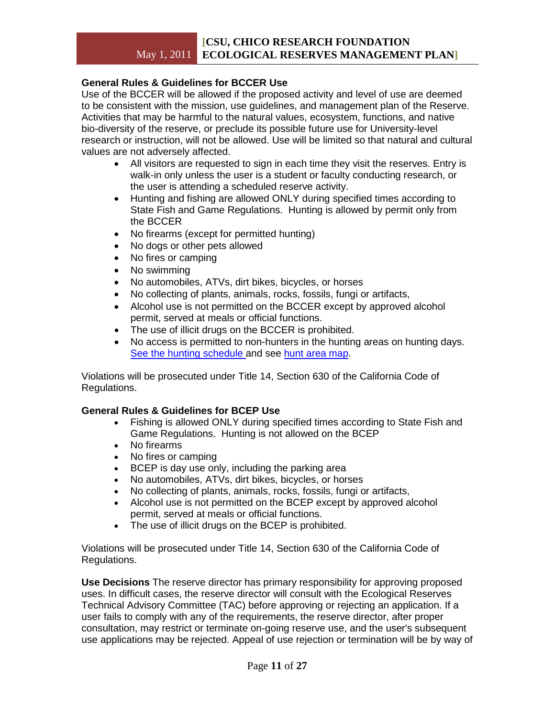# May 1, 2011 **ECOLOGICAL RESERVES MANAGEMENT PLAN] [CSU, CHICO RESEARCH FOUNDATION**

# **General Rules & Guidelines for BCCER Use**

Use of the BCCER will be allowed if the proposed activity and level of use are deemed to be consistent with the mission, use guidelines, and management plan of the Reserve. Activities that may be harmful to the natural values, ecosystem, functions, and native bio-diversity of the reserve, or preclude its possible future use for University-level research or instruction, will not be allowed. Use will be limited so that natural and cultural values are not adversely affected.

- All visitors are requested to sign in each time they visit the reserves. Entry is walk-in only unless the user is a student or faculty conducting research, or the user is attending a scheduled reserve activity.
- Hunting and fishing are allowed ONLY during specified times according to State Fish and Game Regulations. Hunting is allowed by permit only from the BCCER
- No firearms (except for permitted hunting)
- No dogs or other pets allowed
- No fires or camping
- No swimming
- No automobiles, ATVs, dirt bikes, bicycles, or horses
- No collecting of plants, animals, rocks, fossils, fungi or artifacts,
- Alcohol use is not permitted on the BCCER except by approved alcohol permit, served at meals or official functions.
- The use of illicit drugs on the BCCER is prohibited.
- No access is permitted to non-hunters in the hunting areas on hunting days. [See the hunting schedule](https://silk.csuchico.edu/owa/redir.aspx?C=3c3047d38dcb4bdb996acff0300cb887&URL=http%3a%2f%2fwwwdev.csuchico.edu%2fbccer%2fpublic_use%2fhunting.shtml) and see [hunt area map.](https://silk.csuchico.edu/owa/redir.aspx?C=3c3047d38dcb4bdb996acff0300cb887&URL=http%3a%2f%2fwwwdev.csuchico.edu%2fbccer%2fmaps%2fhuntmap.pdf)

Violations will be prosecuted under Title 14, Section 630 of the California Code of Regulations.

# **General Rules & Guidelines for BCEP Use**

- Fishing is allowed ONLY during specified times according to State Fish and Game Regulations. Hunting is not allowed on the BCEP
- No firearms
- No fires or camping
- BCEP is day use only, including the parking area
- No automobiles, ATVs, dirt bikes, bicycles, or horses
- No collecting of plants, animals, rocks, fossils, fungi or artifacts,
- Alcohol use is not permitted on the BCEP except by approved alcohol permit, served at meals or official functions.
- The use of illicit drugs on the BCEP is prohibited.

Violations will be prosecuted under Title 14, Section 630 of the California Code of Regulations.

**Use Decisions** The reserve director has primary responsibility for approving proposed uses. In difficult cases, the reserve director will consult with the Ecological Reserves Technical Advisory Committee (TAC) before approving or rejecting an application. If a user fails to comply with any of the requirements, the reserve director, after proper consultation, may restrict or terminate on-going reserve use, and the user's subsequent use applications may be rejected. Appeal of use rejection or termination will be by way of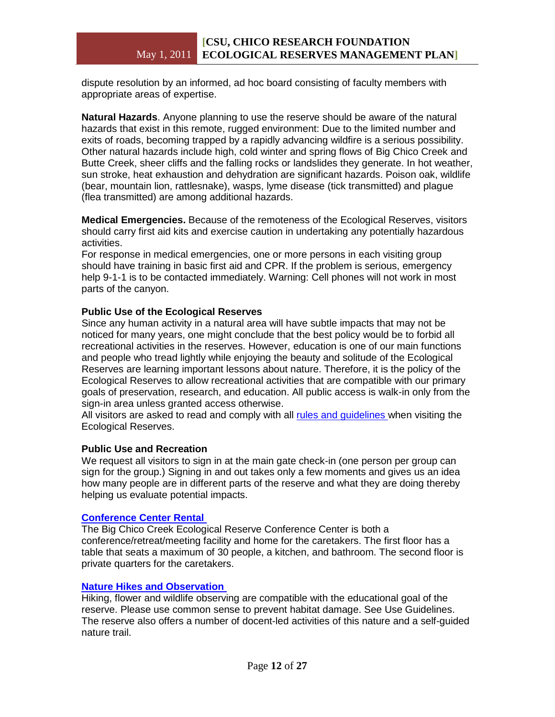dispute resolution by an informed, ad hoc board consisting of faculty members with appropriate areas of expertise.

**Natural Hazards**. Anyone planning to use the reserve should be aware of the natural hazards that exist in this remote, rugged environment: Due to the limited number and exits of roads, becoming trapped by a rapidly advancing wildfire is a serious possibility. Other natural hazards include high, cold winter and spring flows of Big Chico Creek and Butte Creek, sheer cliffs and the falling rocks or landslides they generate. In hot weather, sun stroke, heat exhaustion and dehydration are significant hazards. Poison oak, wildlife (bear, mountain lion, rattlesnake), wasps, lyme disease (tick transmitted) and plague (flea transmitted) are among additional hazards.

**Medical Emergencies.** Because of the remoteness of the Ecological Reserves, visitors should carry first aid kits and exercise caution in undertaking any potentially hazardous activities.

For response in medical emergencies, one or more persons in each visiting group should have training in basic first aid and CPR. If the problem is serious, emergency help 9-1-1 is to be contacted immediately. Warning: Cell phones will not work in most parts of the canyon.

# **Public Use of the Ecological Reserves**

Since any human activity in a natural area will have subtle impacts that may not be noticed for many years, one might conclude that the best policy would be to forbid all recreational activities in the reserves. However, education is one of our main functions and people who tread lightly while enjoying the beauty and solitude of the Ecological Reserves are learning important lessons about nature. Therefore, it is the policy of the Ecological Reserves to allow recreational activities that are compatible with our primary goals of preservation, research, and education. All public access is walk-in only from the sign-in area unless granted access otherwise.

All visitors are asked to read and comply with all [rules and guidelines](https://silk.csuchico.edu/owa/redir.aspx?C=3c3047d38dcb4bdb996acff0300cb887&URL=http%3a%2f%2fwwwdev.csuchico.edu%2fbccer%2faccess%2findex.shtml) when visiting the Ecological Reserves.

# **Public Use and Recreation**

We request all visitors to sign in at the main gate check-in (one person per group can sign for the group.) Signing in and out takes only a few moments and gives us an idea how many people are in different parts of the reserve and what they are doing thereby helping us evaluate potential impacts.

# **[Conference Center Rental](https://silk.csuchico.edu/owa/redir.aspx?C=3c3047d38dcb4bdb996acff0300cb887&URL=http%3a%2f%2fwwwdev.csuchico.edu%2fbccer%2fpublic_use%2fconference.shtml)**

[T](https://silk.csuchico.edu/owa/redir.aspx?C=3c3047d38dcb4bdb996acff0300cb887&URL=http%3a%2f%2fwwwdev.csuchico.edu%2fbccer%2fpublic_use%2fconference.shtml)he Big Chico Creek Ecological Reserve Conference Center is both a conference/retreat/meeting facility and home for the caretakers. The first floor has a table that seats a maximum of 30 people, a kitchen, and bathroom. The second floor is private quarters for the caretakers.

# **[Nature Hikes and Observation](https://silk.csuchico.edu/owa/redir.aspx?C=3c3047d38dcb4bdb996acff0300cb887&URL=http%3a%2f%2fwwwdev.csuchico.edu%2fbccer%2fpublic_use%2fhikes.shtml)**

[H](https://silk.csuchico.edu/owa/redir.aspx?C=3c3047d38dcb4bdb996acff0300cb887&URL=http%3a%2f%2fwwwdev.csuchico.edu%2fbccer%2fpublic_use%2fhikes.shtml)iking, flower and wildlife observing are compatible with the educational goal of the reserve. Please use common sense to prevent habitat damage. See Use Guidelines. The reserve also offers a number of docent-led activities of this nature and a self-guided nature trail.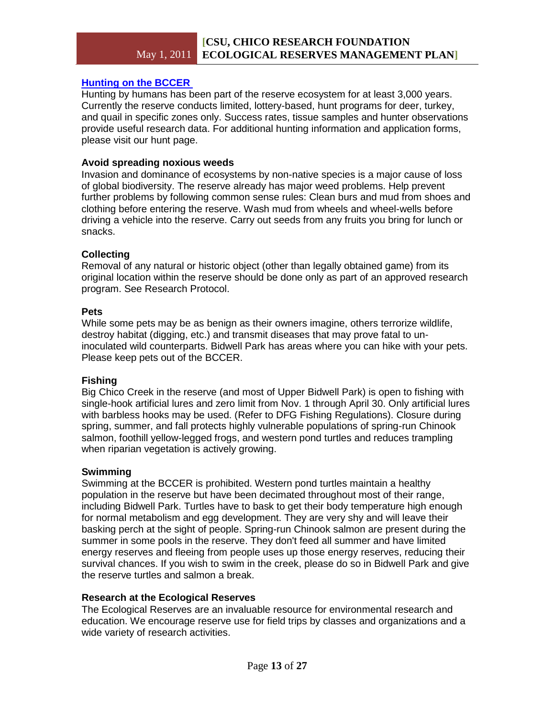# **[Hunting on the BCCER](https://silk.csuchico.edu/owa/redir.aspx?C=3c3047d38dcb4bdb996acff0300cb887&URL=http%3a%2f%2fwwwdev.csuchico.edu%2fbccer%2fpublic_use%2fhunting.shtml)**

[H](https://silk.csuchico.edu/owa/redir.aspx?C=3c3047d38dcb4bdb996acff0300cb887&URL=http%3a%2f%2fwwwdev.csuchico.edu%2fbccer%2fpublic_use%2fhunting.shtml)unting by humans has been part of the reserve ecosystem for at least 3,000 years. Currently the reserve conducts limited, lottery-based, hunt programs for deer, turkey, and quail in specific zones only. Success rates, tissue samples and hunter observations provide useful research data. For additional hunting information and application forms, please visit our hunt page.

# **Avoid spreading noxious weeds**

Invasion and dominance of ecosystems by non-native species is a major cause of loss of global biodiversity. The reserve already has major weed problems. Help prevent further problems by following common sense rules: Clean burs and mud from shoes and clothing before entering the reserve. Wash mud from wheels and wheel-wells before driving a vehicle into the reserve. Carry out seeds from any fruits you bring for lunch or snacks.

# **Collecting**

Removal of any natural or historic object (other than legally obtained game) from its original location within the reserve should be done only as part of an approved research program. See Research Protocol.

# **Pets**

While some pets may be as benign as their owners imagine, others terrorize wildlife, destroy habitat (digging, etc.) and transmit diseases that may prove fatal to uninoculated wild counterparts. Bidwell Park has areas where you can hike with your pets. Please keep pets out of the BCCER.

# **Fishing**

Big Chico Creek in the reserve (and most of Upper Bidwell Park) is open to fishing with single-hook artificial lures and zero limit from Nov. 1 through April 30. Only artificial lures with barbless hooks may be used. (Refer to DFG Fishing Regulations). Closure during spring, summer, and fall protects highly vulnerable populations of spring-run Chinook salmon, foothill yellow-legged frogs, and western pond turtles and reduces trampling when riparian vegetation is actively growing.

# **Swimming**

Swimming at the BCCER is prohibited. Western pond turtles maintain a healthy population in the reserve but have been decimated throughout most of their range, including Bidwell Park. Turtles have to bask to get their body temperature high enough for normal metabolism and egg development. They are very shy and will leave their basking perch at the sight of people. Spring-run Chinook salmon are present during the summer in some pools in the reserve. They don't feed all summer and have limited energy reserves and fleeing from people uses up those energy reserves, reducing their survival chances. If you wish to swim in the creek, please do so in Bidwell Park and give the reserve turtles and salmon a break.

# **Research at the Ecological Reserves**

The Ecological Reserves are an invaluable resource for environmental research and education. We encourage reserve use for field trips by classes and organizations and a wide variety of research activities.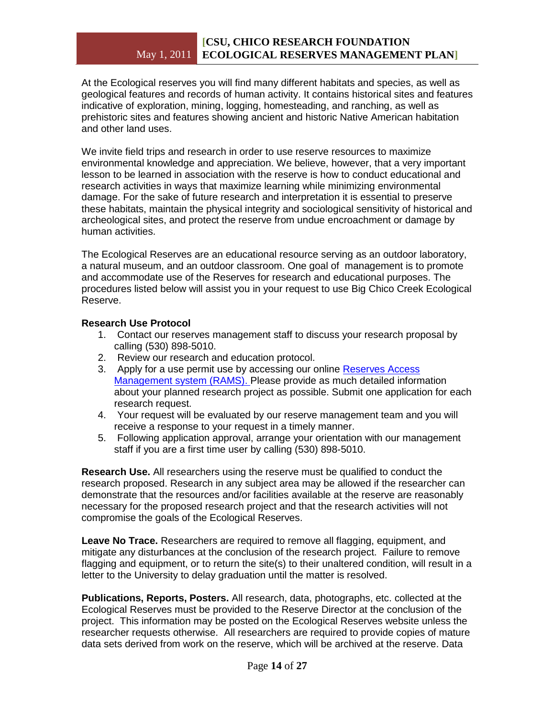# May 1, 2011 **ECOLOGICAL RESERVES MANAGEMENT PLAN] [CSU, CHICO RESEARCH FOUNDATION**

At the Ecological reserves you will find many different habitats and species, as well as geological features and records of human activity. It contains historical sites and features indicative of exploration, mining, logging, homesteading, and ranching, as well as prehistoric sites and features showing ancient and historic Native American habitation and other land uses.

We invite field trips and research in order to use reserve resources to maximize environmental knowledge and appreciation. We believe, however, that a very important lesson to be learned in association with the reserve is how to conduct educational and research activities in ways that maximize learning while minimizing environmental damage. For the sake of future research and interpretation it is essential to preserve these habitats, maintain the physical integrity and sociological sensitivity of historical and archeological sites, and protect the reserve from undue encroachment or damage by human activities.

The Ecological Reserves are an educational resource serving as an outdoor laboratory, a natural museum, and an outdoor classroom. One goal of management is to promote and accommodate use of the Reserves for research and educational purposes. The procedures listed below will assist you in your request to use Big Chico Creek Ecological Reserve.

# **Research Use Protocol**

- 1. Contact our reserves management staff to discuss your research proposal by calling (530) 898-5010.
- 2. Review our research and education protocol.
- 3. Apply for a use permit use by accessing our online Reserves Access [Management system \(RAMS\).](https://silk.csuchico.edu/owa/redir.aspx?C=3c3047d38dcb4bdb996acff0300cb887&URL=http%3a%2f%2fwww.ucnrs.org%2fRAMS%2fApplication%2fNRSApplication.lasso%3freserve%3d113) Please provide as much detailed information about your planned research project as possible. Submit one application for each research request.
- 4. Your request will be evaluated by our reserve management team and you will receive a response to your request in a timely manner.
- 5. Following application approval, arrange your orientation with our management staff if you are a first time user by calling (530) 898-5010.

**Research Use.** All researchers using the reserve must be qualified to conduct the research proposed. Research in any subject area may be allowed if the researcher can demonstrate that the resources and/or facilities available at the reserve are reasonably necessary for the proposed research project and that the research activities will not compromise the goals of the Ecological Reserves.

**Leave No Trace.** Researchers are required to remove all flagging, equipment, and mitigate any disturbances at the conclusion of the research project. Failure to remove flagging and equipment, or to return the site(s) to their unaltered condition, will result in a letter to the University to delay graduation until the matter is resolved.

**Publications, Reports, Posters.** All research, data, photographs, etc. collected at the Ecological Reserves must be provided to the Reserve Director at the conclusion of the project. This information may be posted on the Ecological Reserves website unless the researcher requests otherwise. All researchers are required to provide copies of mature data sets derived from work on the reserve, which will be archived at the reserve. Data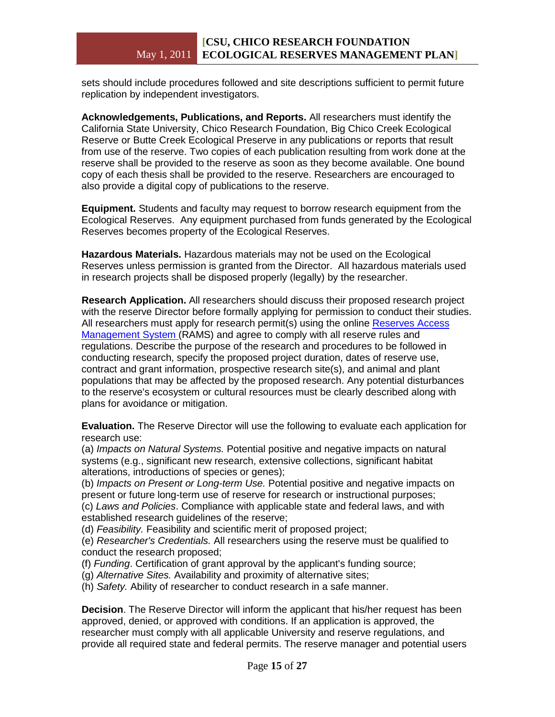# May 1, 2011 **ECOLOGICAL RESERVES MANAGEMENT PLAN] [CSU, CHICO RESEARCH FOUNDATION**

sets should include procedures followed and site descriptions sufficient to permit future replication by independent investigators.

**Acknowledgements, Publications, and Reports.** All researchers must identify the California State University, Chico Research Foundation, Big Chico Creek Ecological Reserve or Butte Creek Ecological Preserve in any publications or reports that result from use of the reserve. Two copies of each publication resulting from work done at the reserve shall be provided to the reserve as soon as they become available. One bound copy of each thesis shall be provided to the reserve. Researchers are encouraged to also provide a digital copy of publications to the reserve.

**Equipment.** Students and faculty may request to borrow research equipment from the Ecological Reserves. Any equipment purchased from funds generated by the Ecological Reserves becomes property of the Ecological Reserves.

**Hazardous Materials.** Hazardous materials may not be used on the Ecological Reserves unless permission is granted from the Director. All hazardous materials used in research projects shall be disposed properly (legally) by the researcher.

**Research Application.** All researchers should discuss their proposed research project with the reserve Director before formally applying for permission to conduct their studies. All researchers must apply for research permit(s) using the online Reserves Access [Management System](https://silk.csuchico.edu/owa/redir.aspx?C=3c3047d38dcb4bdb996acff0300cb887&URL=http%3a%2f%2fwww.ucnrs.org%2fRAMS%2fApplication%2fNRSApplication.lasso%3freserve%3d113) (RAMS) and agree to comply with all reserve rules and regulations. Describe the purpose of the research and procedures to be followed in conducting research, specify the proposed project duration, dates of reserve use, contract and grant information, prospective research site(s), and animal and plant populations that may be affected by the proposed research. Any potential disturbances to the reserve's ecosystem or cultural resources must be clearly described along with plans for avoidance or mitigation.

**Evaluation.** The Reserve Director will use the following to evaluate each application for research use:

(a) *Impacts on Natural Systems.* Potential positive and negative impacts on natural systems (e.g., significant new research, extensive collections, significant habitat alterations, introductions of species or genes);

(b) *Impacts on Present or Long-term Use.* Potential positive and negative impacts on present or future long-term use of reserve for research or instructional purposes; (c) *Laws and Policies*. Compliance with applicable state and federal laws, and with

established research guidelines of the reserve;

(d) *Feasibility.* Feasibility and scientific merit of proposed project;

(e) *Researcher's Credentials.* All researchers using the reserve must be qualified to conduct the research proposed;

(f) *Funding*. Certification of grant approval by the applicant's funding source;

(g) *Alternative Sites.* Availability and proximity of alternative sites;

(h) *Safety.* Ability of researcher to conduct research in a safe manner.

**Decision**. The Reserve Director will inform the applicant that his/her request has been approved, denied, or approved with conditions. If an application is approved, the researcher must comply with all applicable University and reserve regulations, and provide all required state and federal permits. The reserve manager and potential users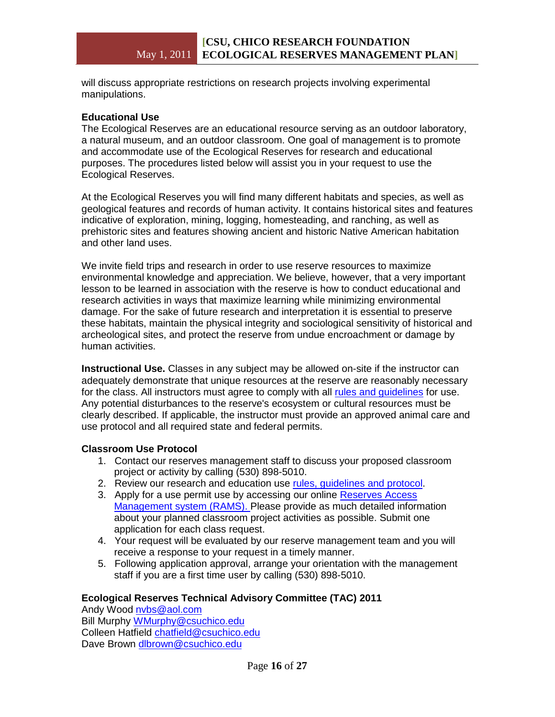will discuss appropriate restrictions on research projects involving experimental manipulations.

# **Educational Use**

The Ecological Reserves are an educational resource serving as an outdoor laboratory, a natural museum, and an outdoor classroom. One goal of management is to promote and accommodate use of the Ecological Reserves for research and educational purposes. The procedures listed below will assist you in your request to use the Ecological Reserves.

At the Ecological Reserves you will find many different habitats and species, as well as geological features and records of human activity. It contains historical sites and features indicative of exploration, mining, logging, homesteading, and ranching, as well as prehistoric sites and features showing ancient and historic Native American habitation and other land uses.

We invite field trips and research in order to use reserve resources to maximize environmental knowledge and appreciation. We believe, however, that a very important lesson to be learned in association with the reserve is how to conduct educational and research activities in ways that maximize learning while minimizing environmental damage. For the sake of future research and interpretation it is essential to preserve these habitats, maintain the physical integrity and sociological sensitivity of historical and archeological sites, and protect the reserve from undue encroachment or damage by human activities.

**Instructional Use.** Classes in any subject may be allowed on-site if the instructor can adequately demonstrate that unique resources at the reserve are reasonably necessary for the class. All instructors must agree to comply with all [rules and guidelines](https://silk.csuchico.edu/owa/redir.aspx?C=3c3047d38dcb4bdb996acff0300cb887&URL=http%3a%2f%2fwwwdev.csuchico.edu%2fbccer%2faccess%2findex.shtml) for use. Any potential disturbances to the reserve's ecosystem or cultural resources must be clearly described. If applicable, the instructor must provide an approved animal care and use protocol and all required state and federal permits.

#### **Classroom Use Protocol**

- 1. Contact our reserves management staff to discuss your proposed classroom project or activity by calling (530) 898-5010.
- 2. Review our research and education use rules, quidelines and protocol.
- 3. Apply for a use permit use by accessing our online [Reserves Access](https://silk.csuchico.edu/owa/redir.aspx?C=3c3047d38dcb4bdb996acff0300cb887&URL=http%3a%2f%2fwww.ucnrs.org%2fRAMS%2fApplication%2fNRSApplication.lasso%3freserve%3d113)  [Management system \(RAMS\).](https://silk.csuchico.edu/owa/redir.aspx?C=3c3047d38dcb4bdb996acff0300cb887&URL=http%3a%2f%2fwww.ucnrs.org%2fRAMS%2fApplication%2fNRSApplication.lasso%3freserve%3d113) Please provide as much detailed information about your planned classroom project activities as possible. Submit one application for each class request.
- 4. Your request will be evaluated by our reserve management team and you will receive a response to your request in a timely manner.
- 5. Following application approval, arrange your orientation with the management staff if you are a first time user by calling (530) 898-5010.

# **Ecological Reserves Technical Advisory Committee (TAC) 2011**

Andy Wood [nvbs@aol.com](mailto:nvbs@aol.com) Bill Murphy [WMurphy@csuchico.edu](mailto:WMurphy@csuchico.edu) Colleen Hatfield [chatfield@csuchico.edu](mailto:chatfield@csuchico.edu) Dave Brown [dlbrown@csuchico.edu](mailto:dlbrown@csuchico.edu)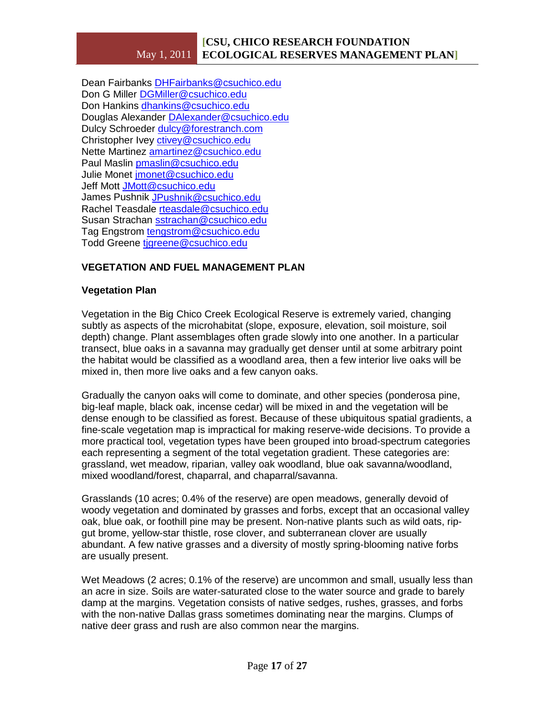Dean Fairbanks [DHFairbanks@csuchico.edu](mailto:DHFairbanks@csuchico.edu) Don G Miller [DGMiller@csuchico.edu](mailto:DGMiller@csuchico.edu) Don Hankins [dhankins@csuchico.edu](mailto:dhankins@csuchico.edu) Douglas Alexander [DAlexander@csuchico.edu](mailto:DAlexander@csuchico.edu) Dulcy Schroeder [dulcy@forestranch.com](mailto:dulcy@forestranch.com) Christopher Ivey [ctivey@csuchico.edu](mailto:ctivey@csuchico.edu) Nette Martinez [amartinez@csuchico.edu](mailto:amartinez@csuchico.edu) Paul Maslin [pmaslin@csuchico.edu](mailto:pmaslin@csuchico.edu) Julie Monet [jmonet@csuchico.edu](mailto:jmonet@csuchico.edu) Jeff Mott [JMott@csuchico.edu](mailto:JMott@csuchico.edu) James Pushnik [JPushnik@csuchico.edu](mailto:JPushnik@csuchico.edu) Rachel Teasdale [rteasdale@csuchico.edu](mailto:rteasdale@csuchico.edu) Susan Strachan [sstrachan@csuchico.edu](mailto:sstrachan@csuchico.edu) Tag Engstrom [tengstrom@csuchico.edu](mailto:tengstrom@csuchico.edu) Todd Greene [tjgreene@csuchico.edu](mailto:tjgreene@csuchico.edu)

# **VEGETATION AND FUEL MANAGEMENT PLAN**

# **Vegetation Plan**

Vegetation in the Big Chico Creek Ecological Reserve is extremely varied, changing subtly as aspects of the microhabitat (slope, exposure, elevation, soil moisture, soil depth) change. Plant assemblages often grade slowly into one another. In a particular transect, blue oaks in a savanna may gradually get denser until at some arbitrary point the habitat would be classified as a woodland area, then a few interior live oaks will be mixed in, then more live oaks and a few canyon oaks.

Gradually the canyon oaks will come to dominate, and other species (ponderosa pine, big-leaf maple, black oak, incense cedar) will be mixed in and the vegetation will be dense enough to be classified as forest. Because of these ubiquitous spatial gradients, a fine-scale vegetation map is impractical for making reserve-wide decisions. To provide a more practical tool, vegetation types have been grouped into broad-spectrum categories each representing a segment of the total vegetation gradient. These categories are: grassland, wet meadow, riparian, valley oak woodland, blue oak savanna/woodland, mixed woodland/forest, chaparral, and chaparral/savanna.

Grasslands (10 acres; 0.4% of the reserve) are open meadows, generally devoid of woody vegetation and dominated by grasses and forbs, except that an occasional valley oak, blue oak, or foothill pine may be present. Non-native plants such as wild oats, ripgut brome, yellow-star thistle, rose clover, and subterranean clover are usually abundant. A few native grasses and a diversity of mostly spring-blooming native forbs are usually present.

Wet Meadows (2 acres; 0.1% of the reserve) are uncommon and small, usually less than an acre in size. Soils are water-saturated close to the water source and grade to barely damp at the margins. Vegetation consists of native sedges, rushes, grasses, and forbs with the non-native Dallas grass sometimes dominating near the margins. Clumps of native deer grass and rush are also common near the margins.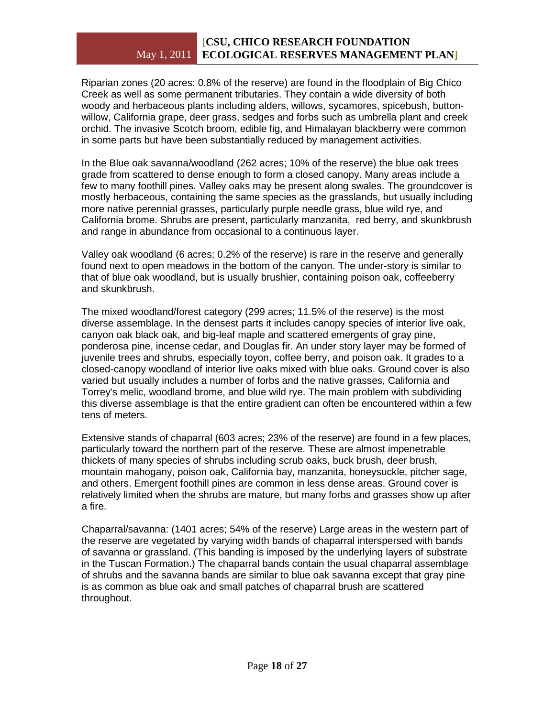Riparian zones (20 acres: 0.8% of the reserve) are found in the floodplain of Big Chico Creek as well as some permanent tributaries. They contain a wide diversity of both woody and herbaceous plants including alders, willows, sycamores, spicebush, buttonwillow, California grape, deer grass, sedges and forbs such as umbrella plant and creek orchid. The invasive Scotch broom, edible fig, and Himalayan blackberry were common in some parts but have been substantially reduced by management activities.

In the Blue oak savanna/woodland (262 acres; 10% of the reserve) the blue oak trees grade from scattered to dense enough to form a closed canopy. Many areas include a few to many foothill pines. Valley oaks may be present along swales. The groundcover is mostly herbaceous, containing the same species as the grasslands, but usually including more native perennial grasses, particularly purple needle grass, blue wild rye, and California brome. Shrubs are present, particularly manzanita, red berry, and skunkbrush and range in abundance from occasional to a continuous layer.

Valley oak woodland (6 acres; 0.2% of the reserve) is rare in the reserve and generally found next to open meadows in the bottom of the canyon. The under-story is similar to that of blue oak woodland, but is usually brushier, containing poison oak, coffeeberry and skunkbrush.

The mixed woodland/forest category (299 acres; 11.5% of the reserve) is the most diverse assemblage. In the densest parts it includes canopy species of interior live oak, canyon oak black oak, and big-leaf maple and scattered emergents of gray pine, ponderosa pine, incense cedar, and Douglas fir. An under story layer may be formed of juvenile trees and shrubs, especially toyon, coffee berry, and poison oak. It grades to a closed-canopy woodland of interior live oaks mixed with blue oaks. Ground cover is also varied but usually includes a number of forbs and the native grasses, California and Torrey's melic, woodland brome, and blue wild rye. The main problem with subdividing this diverse assemblage is that the entire gradient can often be encountered within a few tens of meters.

Extensive stands of chaparral (603 acres; 23% of the reserve) are found in a few places, particularly toward the northern part of the reserve. These are almost impenetrable thickets of many species of shrubs including scrub oaks, buck brush, deer brush, mountain mahogany, poison oak, California bay, manzanita, honeysuckle, pitcher sage, and others. Emergent foothill pines are common in less dense areas. Ground cover is relatively limited when the shrubs are mature, but many forbs and grasses show up after a fire.

Chaparral/savanna: (1401 acres; 54% of the reserve) Large areas in the western part of the reserve are vegetated by varying width bands of chaparral interspersed with bands of savanna or grassland. (This banding is imposed by the underlying layers of substrate in the Tuscan Formation.) The chaparral bands contain the usual chaparral assemblage of shrubs and the savanna bands are similar to blue oak savanna except that gray pine is as common as blue oak and small patches of chaparral brush are scattered throughout.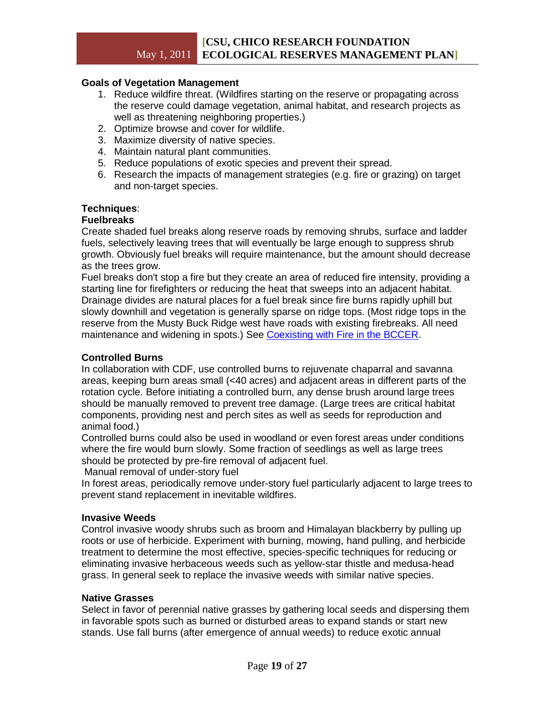# **Goals of Vegetation Management**

- 1. Reduce wildfire threat. (Wildfires starting on the reserve or propagating across the reserve could damage vegetation, animal habitat, and research projects as well as threatening neighboring properties.)
- 2. Optimize browse and cover for wildlife.
- 3. Maximize diversity of native species.
- 4. Maintain natural plant communities.
- 5. Reduce populations of exotic species and prevent their spread.
- 6. Research the impacts of management strategies (e.g. fire or grazing) on target and non-target species.

#### **Techniques**:

#### **Fuelbreaks**

Create shaded fuel breaks along reserve roads by removing shrubs, surface and ladder fuels, selectively leaving trees that will eventually be large enough to suppress shrub growth. Obviously fuel breaks will require maintenance, but the amount should decrease as the trees grow.

Fuel breaks don't stop a fire but they create an area of reduced fire intensity, providing a starting line for firefighters or reducing the heat that sweeps into an adjacent habitat. Drainage divides are natural places for a fuel break since fire burns rapidly uphill but slowly downhill and vegetation is generally sparse on ridge tops. (Most ridge tops in the reserve from the Musty Buck Ridge west have roads with existing firebreaks. All need maintenance and widening in spots.) See [Coexisting with Fire in the BCCER.](https://silk.csuchico.edu/owa/redir.aspx?C=3c3047d38dcb4bdb996acff0300cb887&URL=http%3a%2f%2fwwwdev.csuchico.edu%2fbccer%2fnatural_resources%2ffire.shtml)

#### **Controlled Burns**

In collaboration with CDF, use controlled burns to rejuvenate chaparral and savanna areas, keeping burn areas small (<40 acres) and adjacent areas in different parts of the rotation cycle. Before initiating a controlled burn, any dense brush around large trees should be manually removed to prevent tree damage. (Large trees are critical habitat components, providing nest and perch sites as well as seeds for reproduction and animal food.)

Controlled burns could also be used in woodland or even forest areas under conditions where the fire would burn slowly. Some fraction of seedlings as well as large trees should be protected by pre-fire removal of adjacent fuel.

Manual removal of under-story fuel

In forest areas, periodically remove under-story fuel particularly adjacent to large trees to prevent stand replacement in inevitable wildfires.

#### **Invasive Weeds**

Control invasive woody shrubs such as broom and Himalayan blackberry by pulling up roots or use of herbicide. Experiment with burning, mowing, hand pulling, and herbicide treatment to determine the most effective, species-specific techniques for reducing or eliminating invasive herbaceous weeds such as yellow-star thistle and medusa-head grass. In general seek to replace the invasive weeds with similar native species.

#### **Native Grasses**

Select in favor of perennial native grasses by gathering local seeds and dispersing them in favorable spots such as burned or disturbed areas to expand stands or start new stands. Use fall burns (after emergence of annual weeds) to reduce exotic annual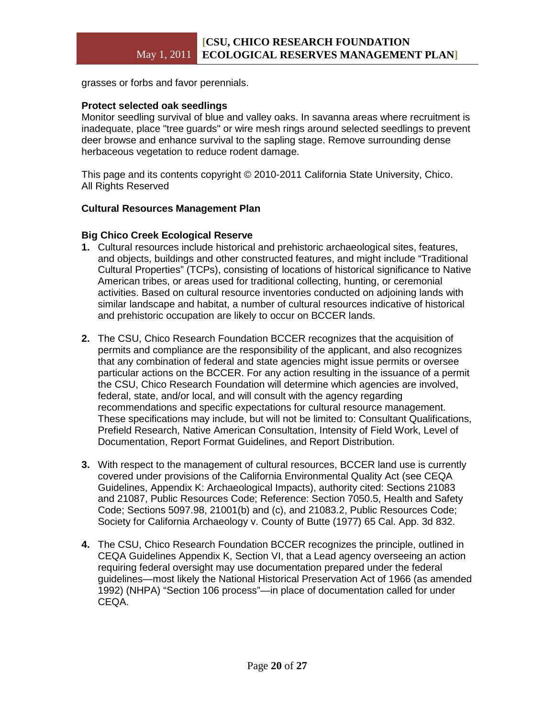grasses or forbs and favor perennials.

#### **Protect selected oak seedlings**

Monitor seedling survival of blue and valley oaks. In savanna areas where recruitment is inadequate, place "tree guards" or wire mesh rings around selected seedlings to prevent deer browse and enhance survival to the sapling stage. Remove surrounding dense herbaceous vegetation to reduce rodent damage.

This page and its contents copyright © 2010-2011 California State University, Chico. All Rights Reserved

#### **Cultural Resources Management Plan**

#### **Big Chico Creek Ecological Reserve**

- **1.** Cultural resources include historical and prehistoric archaeological sites, features, and objects, buildings and other constructed features, and might include "Traditional Cultural Properties" (TCPs), consisting of locations of historical significance to Native American tribes, or areas used for traditional collecting, hunting, or ceremonial activities. Based on cultural resource inventories conducted on adjoining lands with similar landscape and habitat, a number of cultural resources indicative of historical and prehistoric occupation are likely to occur on BCCER lands.
- **2.** The CSU, Chico Research Foundation BCCER recognizes that the acquisition of permits and compliance are the responsibility of the applicant, and also recognizes that any combination of federal and state agencies might issue permits or oversee particular actions on the BCCER. For any action resulting in the issuance of a permit the CSU, Chico Research Foundation will determine which agencies are involved, federal, state, and/or local, and will consult with the agency regarding recommendations and specific expectations for cultural resource management. These specifications may include, but will not be limited to: Consultant Qualifications, Prefield Research, Native American Consultation, Intensity of Field Work, Level of Documentation, Report Format Guidelines, and Report Distribution.
- **3.** With respect to the management of cultural resources, BCCER land use is currently covered under provisions of the California Environmental Quality Act (see CEQA Guidelines, Appendix K: Archaeological Impacts), authority cited: Sections 21083 and 21087, Public Resources Code; Reference: Section 7050.5, Health and Safety Code; Sections 5097.98, 21001(b) and (c), and 21083.2, Public Resources Code; Society for California Archaeology v. County of Butte (1977) 65 Cal. App. 3d 832.
- **4.** The CSU, Chico Research Foundation BCCER recognizes the principle, outlined in CEQA Guidelines Appendix K, Section VI, that a Lead agency overseeing an action requiring federal oversight may use documentation prepared under the federal guidelines—most likely the National Historical Preservation Act of 1966 (as amended 1992) (NHPA) "Section 106 process"—in place of documentation called for under CEQA.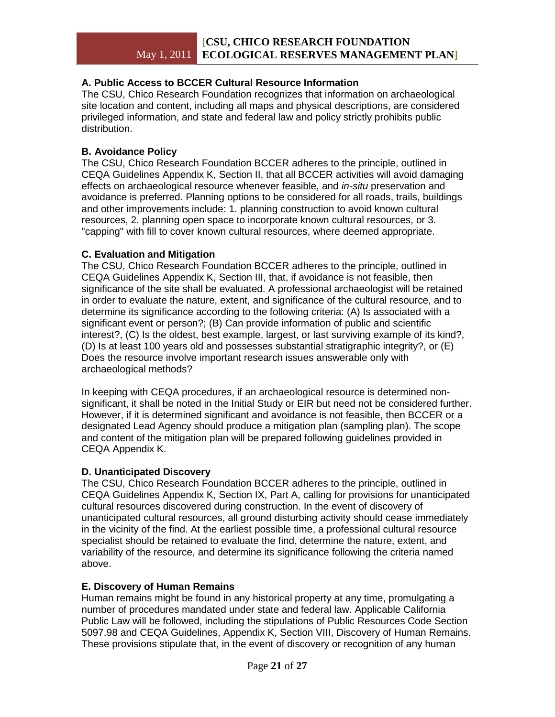# **A. Public Access to BCCER Cultural Resource Information**

The CSU, Chico Research Foundation recognizes that information on archaeological site location and content, including all maps and physical descriptions, are considered privileged information, and state and federal law and policy strictly prohibits public distribution.

#### **B. Avoidance Policy**

The CSU, Chico Research Foundation BCCER adheres to the principle, outlined in CEQA Guidelines Appendix K, Section II, that all BCCER activities will avoid damaging effects on archaeological resource whenever feasible, and *in-situ* preservation and avoidance is preferred. Planning options to be considered for all roads, trails, buildings and other improvements include: 1. planning construction to avoid known cultural resources, 2. planning open space to incorporate known cultural resources, or 3. "capping" with fill to cover known cultural resources, where deemed appropriate.

#### **C. Evaluation and Mitigation**

The CSU, Chico Research Foundation BCCER adheres to the principle, outlined in CEQA Guidelines Appendix K, Section III, that, if avoidance is not feasible, then significance of the site shall be evaluated. A professional archaeologist will be retained in order to evaluate the nature, extent, and significance of the cultural resource, and to determine its significance according to the following criteria: (A) Is associated with a significant event or person?; (B) Can provide information of public and scientific interest?, (C) Is the oldest, best example, largest, or last surviving example of its kind?, (D) Is at least 100 years old and possesses substantial stratigraphic integrity?, or (E) Does the resource involve important research issues answerable only with archaeological methods?

In keeping with CEQA procedures, if an archaeological resource is determined nonsignificant, it shall be noted in the Initial Study or EIR but need not be considered further. However, if it is determined significant and avoidance is not feasible, then BCCER or a designated Lead Agency should produce a mitigation plan (sampling plan). The scope and content of the mitigation plan will be prepared following guidelines provided in CEQA Appendix K.

# **D. Unanticipated Discovery**

The CSU, Chico Research Foundation BCCER adheres to the principle, outlined in CEQA Guidelines Appendix K, Section IX, Part A, calling for provisions for unanticipated cultural resources discovered during construction. In the event of discovery of unanticipated cultural resources, all ground disturbing activity should cease immediately in the vicinity of the find. At the earliest possible time, a professional cultural resource specialist should be retained to evaluate the find, determine the nature, extent, and variability of the resource, and determine its significance following the criteria named above.

# **E. Discovery of Human Remains**

Human remains might be found in any historical property at any time, promulgating a number of procedures mandated under state and federal law. Applicable California Public Law will be followed, including the stipulations of Public Resources Code Section 5097.98 and CEQA Guidelines, Appendix K, Section VIII, Discovery of Human Remains. These provisions stipulate that, in the event of discovery or recognition of any human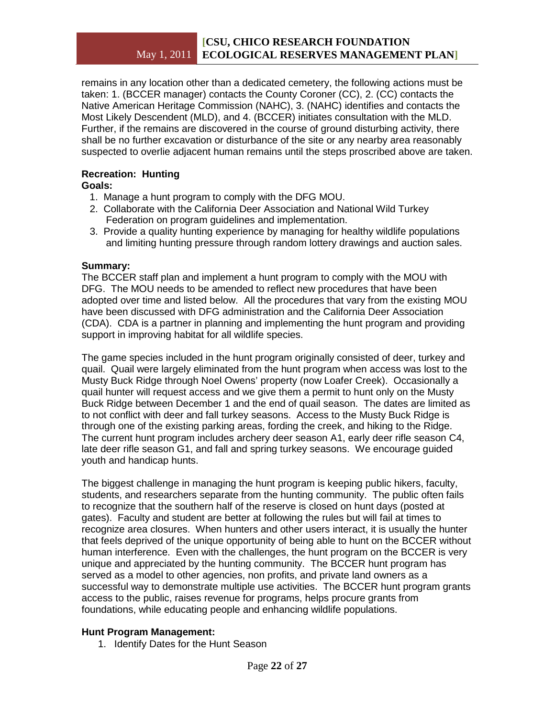remains in any location other than a dedicated cemetery, the following actions must be taken: 1. (BCCER manager) contacts the County Coroner (CC), 2. (CC) contacts the Native American Heritage Commission (NAHC), 3. (NAHC) identifies and contacts the Most Likely Descendent (MLD), and 4. (BCCER) initiates consultation with the MLD. Further, if the remains are discovered in the course of ground disturbing activity, there shall be no further excavation or disturbance of the site or any nearby area reasonably suspected to overlie adjacent human remains until the steps proscribed above are taken.

# **Recreation: Hunting**

- **Goals:**
	- 1. Manage a hunt program to comply with the DFG MOU.
	- 2. Collaborate with the California Deer Association and National Wild Turkey Federation on program guidelines and implementation.
	- 3. Provide a quality hunting experience by managing for healthy wildlife populations and limiting hunting pressure through random lottery drawings and auction sales.

# **Summary:**

The BCCER staff plan and implement a hunt program to comply with the MOU with DFG. The MOU needs to be amended to reflect new procedures that have been adopted over time and listed below. All the procedures that vary from the existing MOU have been discussed with DFG administration and the California Deer Association (CDA). CDA is a partner in planning and implementing the hunt program and providing support in improving habitat for all wildlife species.

The game species included in the hunt program originally consisted of deer, turkey and quail. Quail were largely eliminated from the hunt program when access was lost to the Musty Buck Ridge through Noel Owens' property (now Loafer Creek). Occasionally a quail hunter will request access and we give them a permit to hunt only on the Musty Buck Ridge between December 1 and the end of quail season. The dates are limited as to not conflict with deer and fall turkey seasons. Access to the Musty Buck Ridge is through one of the existing parking areas, fording the creek, and hiking to the Ridge. The current hunt program includes archery deer season A1, early deer rifle season C4, late deer rifle season G1, and fall and spring turkey seasons. We encourage guided youth and handicap hunts.

The biggest challenge in managing the hunt program is keeping public hikers, faculty, students, and researchers separate from the hunting community. The public often fails to recognize that the southern half of the reserve is closed on hunt days (posted at gates). Faculty and student are better at following the rules but will fail at times to recognize area closures. When hunters and other users interact, it is usually the hunter that feels deprived of the unique opportunity of being able to hunt on the BCCER without human interference. Even with the challenges, the hunt program on the BCCER is very unique and appreciated by the hunting community. The BCCER hunt program has served as a model to other agencies, non profits, and private land owners as a successful way to demonstrate multiple use activities. The BCCER hunt program grants access to the public, raises revenue for programs, helps procure grants from foundations, while educating people and enhancing wildlife populations.

# **Hunt Program Management:**

1. Identify Dates for the Hunt Season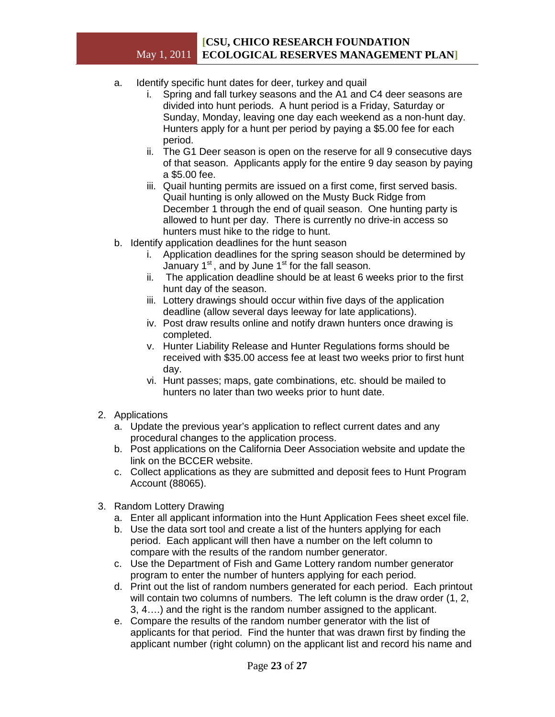- a. Identify specific hunt dates for deer, turkey and quail
	- i. Spring and fall turkey seasons and the A1 and C4 deer seasons are divided into hunt periods. A hunt period is a Friday, Saturday or Sunday, Monday, leaving one day each weekend as a non-hunt day. Hunters apply for a hunt per period by paying a \$5.00 fee for each period.
	- ii. The G1 Deer season is open on the reserve for all 9 consecutive days of that season. Applicants apply for the entire 9 day season by paying a \$5.00 fee.
	- iii. Quail hunting permits are issued on a first come, first served basis. Quail hunting is only allowed on the Musty Buck Ridge from December 1 through the end of quail season. One hunting party is allowed to hunt per day. There is currently no drive-in access so hunters must hike to the ridge to hunt.
- b. Identify application deadlines for the hunt season
	- i. Application deadlines for the spring season should be determined by January  $1^{st}$ , and by June  $1^{st}$  for the fall season.
	- ii. The application deadline should be at least 6 weeks prior to the first hunt day of the season.
	- iii. Lottery drawings should occur within five days of the application deadline (allow several days leeway for late applications).
	- iv. Post draw results online and notify drawn hunters once drawing is completed.
	- v. Hunter Liability Release and Hunter Regulations forms should be received with \$35.00 access fee at least two weeks prior to first hunt day.
	- vi. Hunt passes; maps, gate combinations, etc. should be mailed to hunters no later than two weeks prior to hunt date.
- 2. Applications
	- a. Update the previous year's application to reflect current dates and any procedural changes to the application process.
	- b. Post applications on the California Deer Association website and update the link on the BCCER website.
	- c. Collect applications as they are submitted and deposit fees to Hunt Program Account (88065).
- 3. Random Lottery Drawing
	- a. Enter all applicant information into the Hunt Application Fees sheet excel file.
	- b. Use the data sort tool and create a list of the hunters applying for each period. Each applicant will then have a number on the left column to compare with the results of the random number generator.
	- c. Use the Department of Fish and Game Lottery random number generator program to enter the number of hunters applying for each period.
	- d. Print out the list of random numbers generated for each period. Each printout will contain two columns of numbers. The left column is the draw order (1, 2, 3, 4….) and the right is the random number assigned to the applicant.
	- e. Compare the results of the random number generator with the list of applicants for that period. Find the hunter that was drawn first by finding the applicant number (right column) on the applicant list and record his name and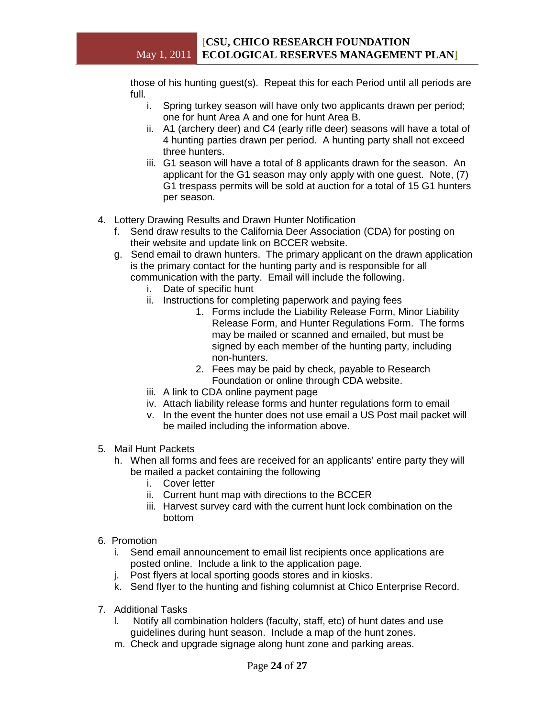those of his hunting guest(s). Repeat this for each Period until all periods are full.

- i. Spring turkey season will have only two applicants drawn per period; one for hunt Area A and one for hunt Area B.
- ii. A1 (archery deer) and C4 (early rifle deer) seasons will have a total of 4 hunting parties drawn per period. A hunting party shall not exceed three hunters.
- iii. G1 season will have a total of 8 applicants drawn for the season. An applicant for the G1 season may only apply with one guest. Note, (7) G1 trespass permits will be sold at auction for a total of 15 G1 hunters per season.
- 4. Lottery Drawing Results and Drawn Hunter Notification
	- f. Send draw results to the California Deer Association (CDA) for posting on their website and update link on BCCER website.
	- g. Send email to drawn hunters. The primary applicant on the drawn application is the primary contact for the hunting party and is responsible for all communication with the party. Email will include the following.
		- i. Date of specific hunt
		- ii. Instructions for completing paperwork and paying fees
			- 1. Forms include the Liability Release Form, Minor Liability Release Form, and Hunter Regulations Form. The forms may be mailed or scanned and emailed, but must be signed by each member of the hunting party, including non-hunters.
			- 2. Fees may be paid by check, payable to Research Foundation or online through CDA website.
		- iii. A link to CDA online payment page
		- iv. Attach liability release forms and hunter regulations form to email
		- v. In the event the hunter does not use email a US Post mail packet will be mailed including the information above.
- 5. Mail Hunt Packets
	- h. When all forms and fees are received for an applicants' entire party they will be mailed a packet containing the following
		- i. Cover letter
		- ii. Current hunt map with directions to the BCCER
		- iii. Harvest survey card with the current hunt lock combination on the bottom
- 6. Promotion
	- i. Send email announcement to email list recipients once applications are posted online. Include a link to the application page.
	- j. Post flyers at local sporting goods stores and in kiosks.
	- k. Send flyer to the hunting and fishing columnist at Chico Enterprise Record.
- 7. Additional Tasks
	- l. Notify all combination holders (faculty, staff, etc) of hunt dates and use guidelines during hunt season. Include a map of the hunt zones.
	- m. Check and upgrade signage along hunt zone and parking areas.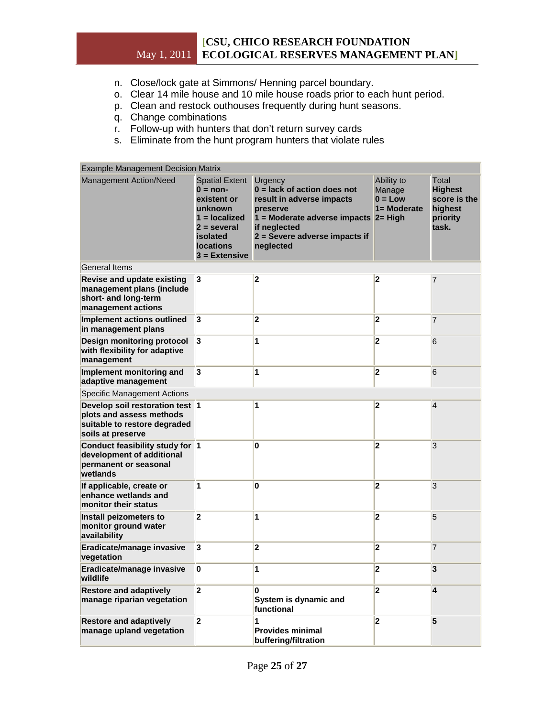- n. Close/lock gate at Simmons/ Henning parcel boundary.
- o. Clear 14 mile house and 10 mile house roads prior to each hunt period.
- p. Clean and restock outhouses frequently during hunt seasons.
- q. Change combinations
- r. Follow-up with hunters that don't return survey cards
- s. Eliminate from the hunt program hunters that violate rules

| <b>Example Management Decision Matrix</b>                                                                        |                                                                                                                                                      |                                                                                                                                                                                         |                                                      |                                                                         |  |
|------------------------------------------------------------------------------------------------------------------|------------------------------------------------------------------------------------------------------------------------------------------------------|-----------------------------------------------------------------------------------------------------------------------------------------------------------------------------------------|------------------------------------------------------|-------------------------------------------------------------------------|--|
| <b>Management Action/Need</b>                                                                                    | <b>Spatial Extent</b><br>$0 = non-$<br>existent or<br>unknown<br>$1 =$ localized<br>$2 = several$<br>isolated<br><b>locations</b><br>$3 =$ Extensive | Urgency<br>$0 =$ lack of action does not<br>result in adverse impacts<br>preserve<br>1 = Moderate adverse impacts 2= High<br>if neglected<br>2 = Severe adverse impacts if<br>neglected | Ability to<br>Manage<br>$0 = Low$<br>$1 = $ Moderate | Total<br><b>Highest</b><br>score is the<br>highest<br>priority<br>task. |  |
| <b>General Items</b>                                                                                             |                                                                                                                                                      |                                                                                                                                                                                         |                                                      |                                                                         |  |
| <b>Revise and update existing</b><br>management plans (include<br>short- and long-term<br>management actions     | $\vert$ 3                                                                                                                                            | $\overline{\mathbf{2}}$                                                                                                                                                                 | $\overline{\mathbf{2}}$                              | 7                                                                       |  |
| Implement actions outlined<br>in management plans                                                                | 3                                                                                                                                                    | $\overline{\mathbf{2}}$                                                                                                                                                                 | $\overline{\mathbf{2}}$                              | $\overline{7}$                                                          |  |
| <b>Design monitoring protocol</b><br>with flexibility for adaptive<br>management                                 | 3                                                                                                                                                    | 1                                                                                                                                                                                       | $\overline{\mathbf{2}}$                              | 6                                                                       |  |
| Implement monitoring and<br>adaptive management                                                                  | 3                                                                                                                                                    | 1                                                                                                                                                                                       | $\overline{\mathbf{2}}$                              | 6                                                                       |  |
| <b>Specific Management Actions</b>                                                                               |                                                                                                                                                      |                                                                                                                                                                                         |                                                      |                                                                         |  |
| Develop soil restoration test 1<br>plots and assess methods<br>suitable to restore degraded<br>soils at preserve |                                                                                                                                                      | 1                                                                                                                                                                                       | $\overline{\mathbf{2}}$                              | $\overline{4}$                                                          |  |
| Conduct feasibility study for 1<br>development of additional<br>permanent or seasonal<br>wetlands                |                                                                                                                                                      | 0                                                                                                                                                                                       | $\overline{2}$                                       | 3                                                                       |  |
| If applicable, create or<br>enhance wetlands and<br>monitor their status                                         | 1                                                                                                                                                    | 0                                                                                                                                                                                       | $\overline{2}$                                       | 3                                                                       |  |
| Install peizometers to<br>monitor ground water<br>availability                                                   | 2                                                                                                                                                    | 1                                                                                                                                                                                       | $\overline{2}$                                       | 5                                                                       |  |
| Eradicate/manage invasive<br>vegetation                                                                          | 3                                                                                                                                                    | $\overline{\mathbf{2}}$                                                                                                                                                                 | $\overline{\mathbf{2}}$                              | $\overline{7}$                                                          |  |
| Eradicate/manage invasive<br>wildlife                                                                            | 0                                                                                                                                                    | 1                                                                                                                                                                                       | $\overline{\mathbf{z}}$                              | 3                                                                       |  |
| <b>Restore and adaptively</b><br>manage riparian vegetation                                                      | 2                                                                                                                                                    | $\overline{2}$<br>0<br>System is dynamic and<br>functional                                                                                                                              |                                                      | 4                                                                       |  |
| <b>Restore and adaptively</b><br>manage upland vegetation                                                        | 2                                                                                                                                                    | 1<br><b>Provides minimal</b><br>buffering/filtration                                                                                                                                    | $\overline{2}$                                       | 5                                                                       |  |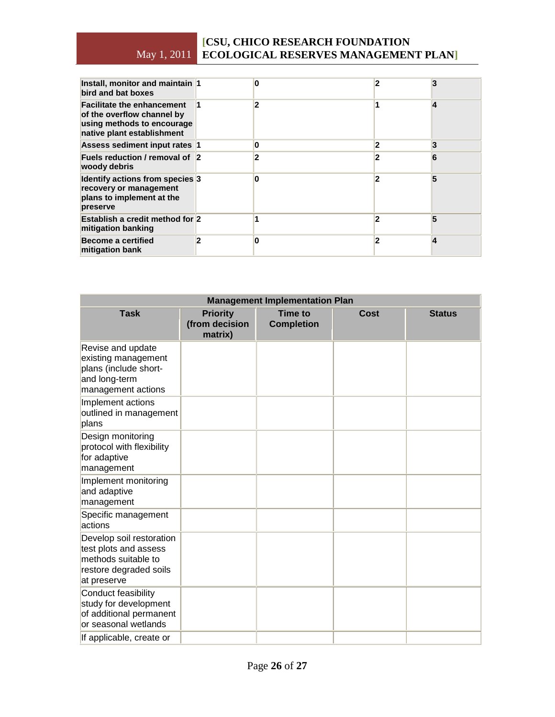| Install, monitor and maintain 1<br>bird and bat boxes                                                                       |   |   |   |
|-----------------------------------------------------------------------------------------------------------------------------|---|---|---|
| <b>Facilitate the enhancement</b><br>of the overflow channel by<br>using methods to encourage<br>native plant establishment | 2 |   | 4 |
| Assess sediment input rates 1                                                                                               | ი | 2 | 3 |
| Fuels reduction / removal of 2<br>woody debris                                                                              | 2 |   | 6 |
| Identify actions from species 3<br>recovery or management<br>plans to implement at the<br>preserve                          |   | 2 | 5 |
| Establish a credit method for 2<br>mitigation banking                                                                       |   |   | 5 |
| <b>Become a certified</b><br>mitigation bank                                                                                |   | 2 | 4 |

| <b>Management Implementation Plan</b>                                                                             |                                              |                                     |             |               |
|-------------------------------------------------------------------------------------------------------------------|----------------------------------------------|-------------------------------------|-------------|---------------|
| <b>Task</b>                                                                                                       | <b>Priority</b><br>(from decision<br>matrix) | <b>Time to</b><br><b>Completion</b> | <b>Cost</b> | <b>Status</b> |
| Revise and update<br>existing management<br>plans (include short-<br>and long-term<br>management actions          |                                              |                                     |             |               |
| Implement actions<br>outlined in management<br>plans                                                              |                                              |                                     |             |               |
| Design monitoring<br>protocol with flexibility<br>for adaptive<br>management                                      |                                              |                                     |             |               |
| Implement monitoring<br>and adaptive<br>management                                                                |                                              |                                     |             |               |
| Specific management<br>actions                                                                                    |                                              |                                     |             |               |
| Develop soil restoration<br>test plots and assess<br>methods suitable to<br>restore degraded soils<br>at preserve |                                              |                                     |             |               |
| Conduct feasibility<br>study for development<br>of additional permanent<br>or seasonal wetlands                   |                                              |                                     |             |               |
| If applicable, create or                                                                                          |                                              |                                     |             |               |